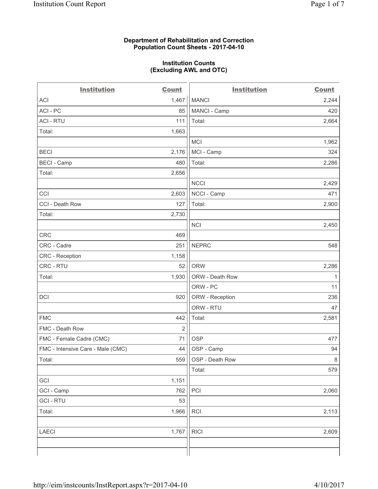### **Department of Rehabilitation and Correction Population Count Sheets - 2017-04-10**

### **Institution Counts (Excluding AWL and OTC)**

| <b>Institution</b>                | <b>Count</b>   | <b>Institution</b> | <b>Count</b> |
|-----------------------------------|----------------|--------------------|--------------|
| <b>ACI</b>                        | 1,467          | <b>MANCI</b>       | 2,244        |
| ACI - PC                          | 85             | MANCI - Camp       | 420          |
| <b>ACI - RTU</b>                  | 111            | Total:             | 2,664        |
| Total:                            | 1,663          |                    |              |
|                                   |                | <b>MCI</b>         | 1,962        |
| <b>BECI</b>                       | 2,176          | MCI - Camp         | 324          |
| <b>BECI</b> - Camp                | 480            | Total:             | 2,286        |
| Total:                            | 2,656          |                    |              |
|                                   |                | <b>NCCI</b>        | 2,429        |
| CCI                               | 2,603          | NCCI - Camp        | 471          |
| CCI - Death Row                   | 127            | Total:             | 2,900        |
| Total:                            | 2,730          |                    |              |
|                                   |                | <b>NCI</b>         | 2,450        |
| CRC                               | 469            |                    |              |
| CRC - Cadre                       | 251            | <b>NEPRC</b>       | 548          |
| <b>CRC</b> - Reception            | 1,158          |                    |              |
| CRC - RTU                         | 52             | <b>ORW</b>         | 2,286        |
| Total:                            | 1,930          | ORW - Death Row    | $\mathbf{1}$ |
|                                   |                | ORW - PC           | 11           |
| DCI                               | 920            | ORW - Reception    | 236          |
|                                   |                | ORW - RTU          | 47           |
| <b>FMC</b>                        | 442            | Total:             | 2,581        |
| FMC - Death Row                   | $\overline{2}$ |                    |              |
| FMC - Female Cadre (CMC)          | 71             | <b>OSP</b>         | 477          |
| FMC - Intensive Care - Male (CMC) | 44             | OSP - Camp         | 94           |
| Total:                            | 559            | OSP - Death Row    | 8            |
|                                   |                | Total:             | 579          |
| GCI                               | 1,151          |                    |              |
| GCI - Camp                        | 762            | PCI                | 2,060        |
| <b>GCI - RTU</b>                  | 53             |                    |              |
| Total:                            | 1,966          | <b>RCI</b>         | 2,113        |
| <b>LAECI</b>                      | 1,767          | <b>RICI</b>        | 2,609        |
|                                   |                |                    |              |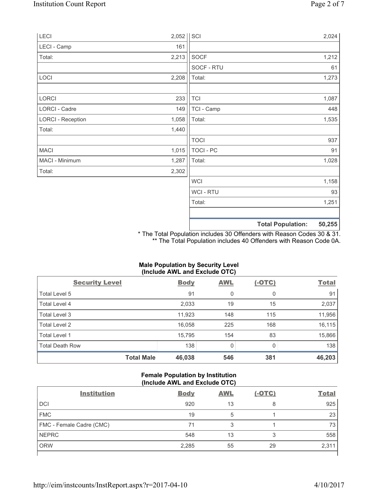|                          |             |                  | <b>Total Population:</b> | 50,255 |
|--------------------------|-------------|------------------|--------------------------|--------|
|                          |             |                  |                          |        |
|                          |             | Total:           |                          | 1,251  |
|                          |             | WCI - RTU        |                          | 93     |
|                          |             | <b>WCI</b>       |                          | 1,158  |
| Total:                   | 2,302       |                  |                          |        |
| MACI - Minimum           | 1,287       | Total:           |                          | 1,028  |
| <b>MACI</b>              | 1,015       | <b>TOCI - PC</b> |                          | 91     |
|                          |             | <b>TOCI</b>      |                          | 937    |
| Total:                   | 1,440       |                  |                          |        |
| <b>LORCI - Reception</b> | 1,058       | Total:           |                          | 1,535  |
| LORCI - Cadre            | 149         | TCI - Camp       |                          | 448    |
| LORCI                    | 233         | <b>TCI</b>       |                          | 1,087  |
|                          |             |                  |                          |        |
| LOCI                     | 2,208       | Total:           |                          | 1,273  |
|                          |             | SOCF - RTU       |                          | 61     |
| Total:                   | 2,213       | <b>SOCF</b>      |                          | 1,212  |
| LECI - Camp              | 161         |                  |                          |        |
| LECI                     | $2,052$ SCI |                  |                          | 2,024  |

\* The Total Population includes 30 Offenders with Reason Codes 30 & 31. \*\* The Total Population includes 40 Offenders with Reason Code 0A.

# **Male Population by Security Level (Include AWL and Exclude OTC)**

| <b>Security Level</b>  | <b>Body</b> | <b>AWL</b> | $(-OTC)$ | <b>Total</b> |
|------------------------|-------------|------------|----------|--------------|
| Total Level 5          | 91          | 0          | 0        | 91           |
| Total Level 4          | 2,033       | 19         | 15       | 2,037        |
| Total Level 3          | 11,923      | 148        | 115      | 11,956       |
| Total Level 2          | 16,058      | 225        | 168      | 16,115       |
| Total Level 1          | 15,795      | 154        | 83       | 15,866       |
| <b>Total Death Row</b> | 138         | 0          | 0        | 138          |
| <b>Total Male</b>      | 46,038      | 546        | 381      | 46,203       |

# **Female Population by Institution (Include AWL and Exclude OTC)**

| <b>Institution</b>       | <b>Body</b> | <b>AWL</b> | <u>(-OTC)</u> | <b>Total</b> |
|--------------------------|-------------|------------|---------------|--------------|
| <b>DCI</b>               | 920         | 13         | 8             | 925          |
| <b>FMC</b>               | 19          | 5          |               | 23           |
| FMC - Female Cadre (CMC) | 71          |            |               | 73           |
| <b>NEPRC</b>             | 548         | 13         | ◠<br>J        | 558          |
| <b>ORW</b>               | 2,285       | 55         | 29            | 2,311        |
|                          |             |            |               |              |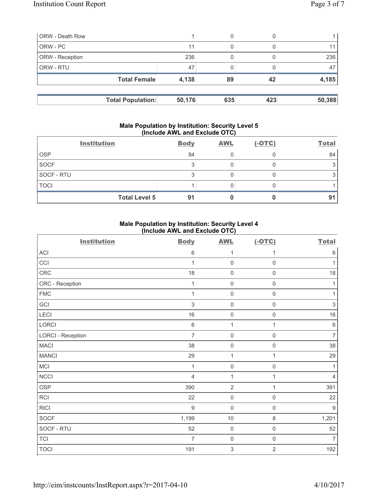| <b>ORW</b> - Death Row |                          |        | 0   |     |        |
|------------------------|--------------------------|--------|-----|-----|--------|
| ORW - PC               |                          | 11     | 0   |     |        |
| <b>ORW</b> - Reception |                          | 236    |     |     | 236    |
| <b>ORW - RTU</b>       |                          | 47     |     |     | 47     |
|                        | <b>Total Female</b>      | 4,138  | 89  | 42  | 4,185  |
|                        |                          |        |     |     |        |
|                        | <b>Total Population:</b> | 50,176 | 635 | 423 | 50,388 |

### **Male Population by Institution: Security Level 5 (Include AWL and Exclude OTC)**

|             | <b>Institution</b>   | <b>Body</b> | <b>AWL</b> | $(-OTC)$ | <b>Total</b> |
|-------------|----------------------|-------------|------------|----------|--------------|
| <b>OSP</b>  |                      | 84          |            |          | 84           |
| <b>SOCF</b> |                      |             |            |          |              |
| SOCF - RTU  |                      |             |            |          |              |
| <b>TOCI</b> |                      |             |            |          |              |
|             | <b>Total Level 5</b> | 91          |            |          | 91           |

## **Male Population by Institution: Security Level 4 (Include AWL and Exclude OTC)**

| <b>Institution</b>       | <b>Body</b>    | <b>AWL</b>          | $(-OTC)$            | <b>Total</b>   |
|--------------------------|----------------|---------------------|---------------------|----------------|
| <b>ACI</b>               | $\,6$          | 1                   | 1                   | $\,6\,$        |
| CCI                      | 1              | $\mathsf{O}\xspace$ | 0                   | 1              |
| CRC                      | 18             | $\mathsf{O}\xspace$ | $\mathbf 0$         | 18             |
| CRC - Reception          | 1              | $\mathsf{O}\xspace$ | $\mathsf{O}\xspace$ | 1              |
| <b>FMC</b>               | $\mathbf{1}$   | $\mathsf{O}\xspace$ | $\mathsf{O}\xspace$ | 1              |
| GCI                      | $\mathsf 3$    | $\mathsf{O}\xspace$ | $\mathsf{O}\xspace$ | $\sqrt{3}$     |
| LECI                     | 16             | $\mathsf{O}\xspace$ | $\mathsf{O}\xspace$ | $16$           |
| LORCI                    | $\,6$          | $\mathbf{1}$        | $\mathbf{1}$        | $\,6\,$        |
| <b>LORCI - Reception</b> | $\overline{7}$ | $\mathsf{O}\xspace$ | $\mathsf{O}\xspace$ | $\overline{7}$ |
| <b>MACI</b>              | 38             | $\mathsf{O}\xspace$ | $\mathsf{O}\xspace$ | 38             |
| <b>MANCI</b>             | 29             | $\mathbf{1}$        | 1                   | 29             |
| MCI                      | $\mathbf{1}$   | $\mathsf{O}\xspace$ | $\mathbf 0$         | 1              |
| <b>NCCI</b>              | $\overline{4}$ | $\mathbf{1}$        | 1                   | $\overline{4}$ |
| OSP                      | 390            | $\overline{2}$      | 1                   | 391            |
| RCI                      | 22             | $\mathsf{O}\xspace$ | $\mathsf{O}\xspace$ | 22             |
| <b>RICI</b>              | $\overline{9}$ | $\mathsf{O}\xspace$ | $\mathsf{O}\xspace$ | $\overline{9}$ |
| SOCF                     | 1,199          | 10                  | $\,8\,$             | 1,201          |
| SOCF - RTU               | 52             | $\mathsf{O}\xspace$ | $\mathsf{O}\xspace$ | 52             |
| <b>TCI</b>               | $\overline{7}$ | $\mathsf{O}\xspace$ | $\mathsf{O}\xspace$ | $\overline{7}$ |
| <b>TOCI</b>              | 191            | 3                   | $\overline{2}$      | 192            |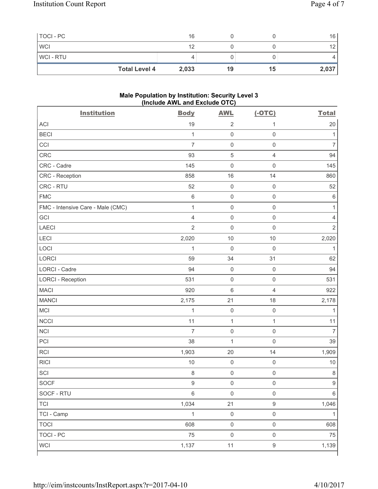| TOCI - PC      |                      | 16    |    |    | 16              |
|----------------|----------------------|-------|----|----|-----------------|
| <b>WCI</b>     |                      | 12    |    |    | 12 <sub>1</sub> |
| <b>WCI-RTU</b> |                      |       |    |    |                 |
|                | <b>Total Level 4</b> | 2,033 | 19 | 15 | 2,037           |

### **Male Population by Institution: Security Level 3 (Include AWL and Exclude OTC)**

| <b>Institution</b>                | <b>Body</b>      | <b>AWL</b>          | $(-OTC)$            | <b>Total</b>   |
|-----------------------------------|------------------|---------------------|---------------------|----------------|
| <b>ACI</b>                        | 19               | $\overline{2}$      | 1                   | 20             |
| <b>BECI</b>                       | $\mathbf{1}$     | $\mathsf 0$         | $\mathsf 0$         | 1              |
| CCI                               | $\overline{7}$   | $\mathsf{O}\xspace$ | $\mathsf{O}\xspace$ | $\overline{7}$ |
| CRC                               | 93               | $\sqrt{5}$          | $\overline{4}$      | 94             |
| CRC - Cadre                       | 145              | $\mathsf{O}\xspace$ | $\mathsf 0$         | 145            |
| CRC - Reception                   | 858              | 16                  | 14                  | 860            |
| CRC - RTU                         | 52               | $\mathsf 0$         | $\mathsf 0$         | 52             |
| <b>FMC</b>                        | 6                | $\mathsf{O}\xspace$ | $\mathsf{O}\xspace$ | $\,6$          |
| FMC - Intensive Care - Male (CMC) | $\mathbf{1}$     | $\mathsf{O}\xspace$ | $\mathsf{O}\xspace$ | 1              |
| GCI                               | $\overline{4}$   | $\mathsf{O}\xspace$ | $\mathsf{O}\xspace$ | $\overline{4}$ |
| <b>LAECI</b>                      | $\overline{2}$   | $\mathsf{O}\xspace$ | $\mathsf 0$         | $\overline{2}$ |
| LECI                              | 2,020            | 10                  | 10                  | 2,020          |
| LOCI                              | $\mathbf{1}$     | $\mathbf 0$         | $\mathsf 0$         | 1              |
| LORCI                             | 59               | 34                  | 31                  | 62             |
| <b>LORCI - Cadre</b>              | 94               | $\mathsf{O}\xspace$ | $\mathsf{O}\xspace$ | 94             |
| <b>LORCI - Reception</b>          | 531              | $\mathsf{O}\xspace$ | $\mathsf 0$         | 531            |
| <b>MACI</b>                       | 920              | $\,6\,$             | $\overline{4}$      | 922            |
| <b>MANCI</b>                      | 2,175            | 21                  | 18                  | 2,178          |
| MCI                               | $\mathbf 1$      | $\mathsf{O}\xspace$ | $\mathsf{O}\xspace$ | 1              |
| <b>NCCI</b>                       | 11               | $\mathbf 1$         | $\mathbf 1$         | 11             |
| <b>NCI</b>                        | $\overline{7}$   | $\mathsf{O}\xspace$ | $\mathsf 0$         | $\overline{7}$ |
| PCI                               | 38               | $\mathbf{1}$        | $\mathbf 0$         | 39             |
| RCI                               | 1,903            | 20                  | 14                  | 1,909          |
| <b>RICI</b>                       | $10$             | $\mathsf{O}\xspace$ | $\mathsf 0$         | $10$           |
| SCI                               | 8                | $\mathsf{O}\xspace$ | $\mathsf{O}\xspace$ | $\,8\,$        |
| SOCF                              | $\boldsymbol{9}$ | $\mathsf{O}\xspace$ | $\mathsf{O}\xspace$ | 9              |
| SOCF - RTU                        | 6                | $\mathsf 0$         | $\mathsf 0$         | 6              |
| <b>TCI</b>                        | 1,034            | 21                  | $\boldsymbol{9}$    | 1,046          |
| TCI - Camp                        | $\mathbf{1}$     | $\mathbf 0$         | $\mathsf 0$         | $\mathbf{1}$   |
| <b>TOCI</b>                       | 608              | $\mathsf 0$         | $\mathsf 0$         | 608            |
| <b>TOCI - PC</b>                  | 75               | $\mathsf{O}\xspace$ | $\mathsf 0$         | 75             |
| <b>WCI</b>                        | 1,137            | 11                  | $\boldsymbol{9}$    | 1,139          |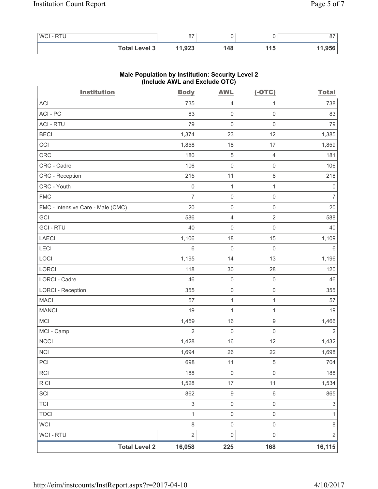| <b>WCI-RTU</b> |                      | 0 <sub>7</sub><br>01 |     |     | $\sim$ |
|----------------|----------------------|----------------------|-----|-----|--------|
|                | <b>Total Level 3</b> | 11,923               | 148 | 115 | 11,956 |

| <b>Institution</b>                | (include AVVL and Exclude $O(O)$<br><b>Body</b> | <b>AWL</b>          | $(-OTC)$            | <b>Total</b>              |
|-----------------------------------|-------------------------------------------------|---------------------|---------------------|---------------------------|
| <b>ACI</b>                        | 735                                             | 4                   | 1                   | 738                       |
| ACI - PC                          | 83                                              | $\mathsf{O}\xspace$ | 0                   | 83                        |
| <b>ACI - RTU</b>                  | 79                                              | $\mathsf{O}\xspace$ | $\mathsf{O}\xspace$ | 79                        |
| <b>BECI</b>                       | 1,374                                           | 23                  | 12                  | 1,385                     |
| CCI                               | 1,858                                           | 18                  | 17                  | 1,859                     |
| <b>CRC</b>                        | 180                                             | $\sqrt{5}$          | $\overline{4}$      | 181                       |
| CRC - Cadre                       | 106                                             | $\mathsf{O}\xspace$ | $\mathsf{O}\xspace$ | 106                       |
| CRC - Reception                   | 215                                             | 11                  | $\,8\,$             | 218                       |
| CRC - Youth                       | $\mathsf 0$                                     | 1                   | 1                   | 0                         |
| <b>FMC</b>                        | $\overline{7}$                                  | $\mathsf{O}\xspace$ | $\mathsf 0$         | $\overline{7}$            |
| FMC - Intensive Care - Male (CMC) | 20                                              | $\mathsf{O}\xspace$ | $\mathsf 0$         | 20                        |
| GCI                               | 586                                             | $\overline{4}$      | $\overline{2}$      | 588                       |
| <b>GCI-RTU</b>                    | 40                                              | $\mathbf 0$         | $\mathsf{O}\xspace$ | 40                        |
| <b>LAECI</b>                      | 1,106                                           | 18                  | 15                  | 1,109                     |
| LECI                              | $\,6$                                           | $\mathsf{O}\xspace$ | $\mathsf 0$         | 6                         |
| LOCI                              | 1,195                                           | 14                  | 13                  | 1,196                     |
| <b>LORCI</b>                      | 118                                             | 30                  | 28                  | 120                       |
| LORCI - Cadre                     | 46                                              | $\mathsf{O}\xspace$ | $\mathsf 0$         | 46                        |
| <b>LORCI - Reception</b>          | 355                                             | $\mathsf{O}\xspace$ | $\mathsf 0$         | 355                       |
| <b>MACI</b>                       | 57                                              | $\mathbf 1$         | $\mathbf{1}$        | 57                        |
| <b>MANCI</b>                      | 19                                              | $\mathbf 1$         | $\mathbf{1}$        | 19                        |
| MCI                               | 1,459                                           | 16                  | 9                   | 1,466                     |
| MCI - Camp                        | $\overline{2}$                                  | $\mathbf 0$         | $\mathsf{O}\xspace$ | $\overline{2}$            |
| <b>NCCI</b>                       | 1,428                                           | 16                  | 12                  | 1,432                     |
| NCI                               | 1,694                                           | 26                  | 22                  | 1,698                     |
| PCI                               | 698                                             | 11                  | 5                   | 704                       |
| RCI                               | 188                                             | $\mathsf{O}\xspace$ | $\mathbf 0$         | 188                       |
| <b>RICI</b>                       | 1,528                                           | 17                  | 11                  | 1,534                     |
| SCI                               | 862                                             | $\boldsymbol{9}$    | $\,6\,$             | 865                       |
| <b>TCI</b>                        | $\sqrt{3}$                                      | $\mathsf{O}\xspace$ | $\mathsf{O}\xspace$ | $\ensuremath{\mathsf{3}}$ |
| <b>TOCI</b>                       | $\mathbf{1}$                                    | $\mathsf{O}\xspace$ | $\mathsf{O}\xspace$ | 1                         |
| <b>WCI</b>                        | $\,8\,$                                         | $\mathsf{O}\xspace$ | $\mathsf 0$         | 8                         |
| WCI - RTU                         | $\overline{2}$                                  | $\mathsf{O}\xspace$ | $\mathsf 0$         | $\overline{\mathbf{c}}$   |
| <b>Total Level 2</b>              | 16,058                                          | 225                 | 168                 | 16, 115                   |

# **Male Population by Institution: Security Level 2 (Include AWL and Exclude OTC)**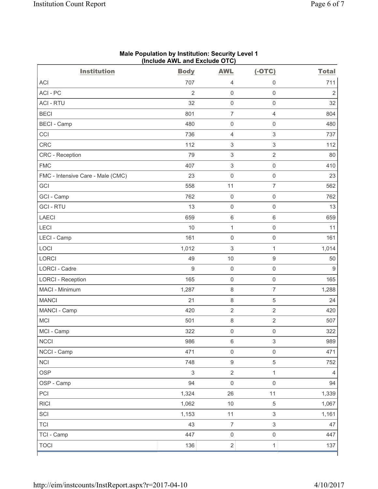| <b>Institution</b>                | <b>Body</b>    | <b>AWL</b>                | $(-OTC)$                  | <b>Total</b>   |
|-----------------------------------|----------------|---------------------------|---------------------------|----------------|
| <b>ACI</b>                        | 707            | $\overline{4}$            | $\mathsf 0$               | 711            |
| ACI-PC                            | $\overline{2}$ | $\mathbf 0$               | $\mathsf 0$               | $\overline{2}$ |
| <b>ACI - RTU</b>                  | 32             | $\mathbf 0$               | $\mathsf 0$               | 32             |
| <b>BECI</b>                       | 801            | $\overline{7}$            | $\overline{4}$            | 804            |
| <b>BECI - Camp</b>                | 480            | $\mathsf{O}\xspace$       | $\mathbf 0$               | 480            |
| CCI                               | 736            | $\overline{4}$            | $\ensuremath{\mathsf{3}}$ | 737            |
| <b>CRC</b>                        | 112            | $\ensuremath{\mathsf{3}}$ | $\ensuremath{\mathsf{3}}$ | 112            |
| CRC - Reception                   | 79             | $\ensuremath{\mathsf{3}}$ | $\overline{2}$            | 80             |
| <b>FMC</b>                        | 407            | $\sqrt{3}$                | $\mathsf 0$               | 410            |
| FMC - Intensive Care - Male (CMC) | 23             | $\mathsf{O}\xspace$       | $\mathsf 0$               | 23             |
| GCI                               | 558            | 11                        | $\overline{7}$            | 562            |
| GCI - Camp                        | 762            | $\mathsf 0$               | $\mathsf{O}\xspace$       | 762            |
| <b>GCI-RTU</b>                    | 13             | $\mathsf 0$               | $\mathsf 0$               | 13             |
| <b>LAECI</b>                      | 659            | $\,6\,$                   | $6\,$                     | 659            |
| LECI                              | 10             | $\mathbf{1}$              | $\mathsf{O}\xspace$       | 11             |
| LECI - Camp                       | 161            | $\mathbf 0$               | $\mathsf{O}\xspace$       | 161            |
| LOCI                              | 1,012          | $\sqrt{3}$                | $\mathbf{1}$              | 1,014          |
| LORCI                             | 49             | 10                        | $\boldsymbol{9}$          | 50             |
| <b>LORCI - Cadre</b>              | $\hbox{9}$     | $\mathsf{O}\xspace$       | $\mathsf 0$               | 9              |
| <b>LORCI - Reception</b>          | 165            | $\mathsf{O}\xspace$       | $\mathsf{O}\xspace$       | 165            |
| MACI - Minimum                    | 1,287          | 8                         | $\overline{7}$            | 1,288          |
| <b>MANCI</b>                      | 21             | $\,8\,$                   | $\sqrt{5}$                | 24             |
| MANCI - Camp                      | 420            | $\overline{2}$            | $\overline{2}$            | 420            |
| <b>MCI</b>                        | 501            | $\,8\,$                   | $\sqrt{2}$                | 507            |
| MCI - Camp                        | 322            | $\mathsf{O}\xspace$       | $\mathsf{O}\xspace$       | 322            |
| <b>NCCI</b>                       | 986            | $\,6\,$                   | $\ensuremath{\mathsf{3}}$ | 989            |
| NCCI - Camp                       | 471            | $\mathsf 0$               | $\mathsf 0$               | 471            |
| <b>NCI</b>                        | 748            | $\boldsymbol{9}$          | 5                         | 752            |
| <b>OSP</b>                        | $\mathfrak{S}$ | $\overline{2}$            | $\mathbf{1}$              | $\overline{4}$ |
| OSP - Camp                        | 94             | $\mathbf 0$               | $\mathsf 0$               | 94             |
| PCI                               | 1,324          | 26                        | 11                        | 1,339          |
| <b>RICI</b>                       | 1,062          | $10$                      | $\sqrt{5}$                | 1,067          |
| SCI                               | 1,153          | 11                        | $\mathsf 3$               | 1,161          |
| <b>TCI</b>                        | 43             | $\overline{7}$            | $\ensuremath{\mathsf{3}}$ | 47             |
| TCI - Camp                        | 447            | $\mathsf 0$               | $\mathsf 0$               | 447            |
| <b>TOCI</b>                       | 136            | $\overline{2}$            | $\mathbf{1}$              | 137            |

#### **Male Population by Institution: Security Level 1 (Include AWL and Exclude OTC)**